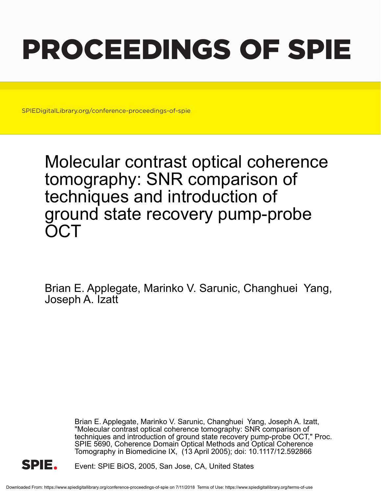# PROCEEDINGS OF SPIE

SPIEDigitalLibrary.org/conference-proceedings-of-spie

Molecular contrast optical coherence tomography: SNR comparison of techniques and introduction of ground state recovery pump-probe **OCT** 

Brian E. Applegate, Marinko V. Sarunic, Changhuei Yang, Joseph A. Izatt

> Brian E. Applegate, Marinko V. Sarunic, Changhuei Yang, Joseph A. Izatt, "Molecular contrast optical coherence tomography: SNR comparison of techniques and introduction of ground state recovery pump-probe OCT," Proc. SPIE 5690, Coherence Domain Optical Methods and Optical Coherence Tomography in Biomedicine IX, (13 April 2005); doi: 10.1117/12.592866



Event: SPIE BiOS, 2005, San Jose, CA, United States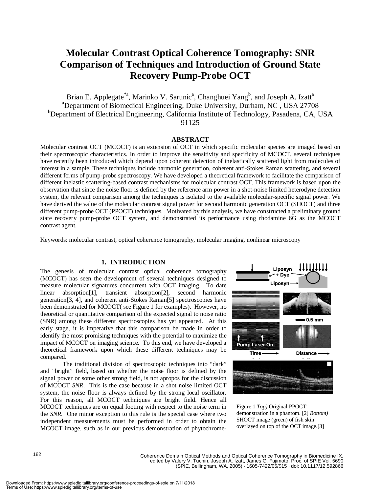# **Molecular Contrast Optical Coherence Tomography: SNR Comparison of Techniques and Introduction of Ground State Recovery Pump-Probe OCT**

Brian E. Applegate<sup>\*a</sup>, Marinko V. Sarunic<sup>a</sup>, Changhuei Yang<sup>b</sup>, and Joseph A. Izatt<sup>a</sup> <sup>a</sup>Department of Biomedical Engineering, Duke University, Durham, NC, USA 27708 <sup>b</sup>Department of Electrical Engineering, California Institute of Technology, Pasadena, CA, USA 91125

# **ABSTRACT**

Molecular contrast OCT (MCOCT) is an extension of OCT in which specific molecular species are imaged based on their spectroscopic characteristics. In order to improve the sensitivity and specificity of MCOCT, several techniques have recently been introduced which depend upon coherent detection of inelastically scattered light from molecules of interest in a sample. These techniques include harmonic generation, coherent anti-Stokes Raman scattering, and several different forms of pump-probe spectroscopy. We have developed a theoretical framework to facilitate the comparison of different inelastic scattering-based contrast mechanisms for molecular contrast OCT. This framework is based upon the observation that since the noise floor is defined by the reference arm power in a shot-noise limited heterodyne detection system, the relevant comparison among the techniques is isolated to the available molecular-specific signal power. We have derived the value of the molecular contrast signal power for second harmonic generation OCT (SHOCT) and three different pump-probe OCT (PPOCT) techniques. Motivated by this analysis, we have constructed a preliminary ground state recovery pump-probe OCT system, and demonstrated its performance using rhodamine 6G as the MCOCT contrast agent.

Keywords: molecular contrast, optical coherence tomography, molecular imaging, nonlinear microscopy

### **1. INTRODUCTION**

The genesis of molecular contrast optical coherence tomography (MCOCT) has seen the development of several techniques designed to measure molecular signatures concurrent with OCT imaging. To date linear absorption[1], transient absorption[2], second harmonic generation[3, 4], and coherent anti-Stokes Raman[5] spectroscopies have been demonstrated for MCOCT( see Figure 1 for examples). However, no theoretical or quantitative comparison of the expected signal to noise ratio (SNR) among these different spectroscopies has yet appeared. At this early stage, it is imperative that this comparison be made in order to identify the most promising techniques with the potential to maximize the impact of MCOCT on imaging science. To this end, we have developed a theoretical framework upon which these different techniques may be compared.

The traditional division of spectroscopic techniques into "dark" and "bright" field, based on whether the noise floor is defined by the signal power or some other strong field, is not apropos for the discussion of MCOCT *SNR*. This is the case because in a shot noise limited OCT system, the noise floor is always defined by the strong local oscillator. For this reason, all MCOCT techniques are bright field. Hence all MCOCT techniques are on equal footing with respect to the noise term in the *SNR*. One minor exception to this rule is the special case where two independent measurements must be performed in order to obtain the MCOCT image, such as in our previous demonstration of phytochrome-



Figure 1 *Top)* Original PPOCT demonstration in a phantom. [2] *Bottom)* SHOCT image (green) of fish skin overlayed on top of the OCT image.[3]

182

Coherence Domain Optical Methods and Optical Coherence Tomography in Biomedicine IX, edited by Valery V. Tuchin, Joseph A. Izatt, James G. Fujimoto, Proc. of SPIE Vol. 5690 (SPIE, Bellingham, WA, 2005) · 1605-7422/05/\$15 · doi: 10.1117/12.592866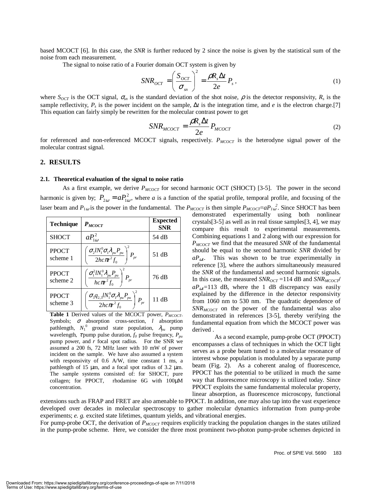based MCOCT [6]. In this case, the *SNR* is further reduced by 2 since the noise is given by the statistical sum of the noise from each measurement.

The signal to noise ratio of a Fourier domain OCT system is given by

$$
SNR_{OCT} = \left(\frac{S_{OCT}}{\sigma_{sn}}\right)^2 = \frac{\rho R_s \Delta t}{2e} P_s \,, \tag{1}
$$

where  $S_{OCT}$  is the OCT signal,  $\sigma_{sn}$  is the standard deviation of the shot noise,  $\rho$  is the detector responsivity,  $R_s$  is the sample reflectivity,  $P_s$  is the power incident on the sample,  $\Delta t$  is the integration time, and *e* is the electron charge.[7] This equation can fairly simply be rewritten for the molecular contrast power to get

$$
SNR_{MCOCT} = \frac{\rho R_s \Delta t}{2e} P_{MCOCT}
$$
 (2)

for referenced and non-referenced MCOCT signals, respectively. *P<sub>MCOCT</sub>* is the heterodyne signal power of the molecular contrast signal.

#### **2. RESULTS**

#### **2.1. Theoretical evaluation of the signal to noise ratio**

As a first example, we derive  $P_{MCOCT}$  for second harmonic OCT (SHOCT) [3-5]. The power in the second harmonic is given by;  $P_{2\omega} = aP_{1\omega}^2$ , where *a* is a function of the spatial profile, temporal profile, and focusing of the laser beam and  $P_{1\omega}$  is the power in the fundamental. The  $P_{MCOCT}$  is then simple  $P_{MCOCT}=aP_{1\omega}^2$ . Since SHOCT has been

| <b>Technique</b>         | $P_{MCOCT}$                                                                                                                                                                    | <b>Expected</b><br><b>SNR</b> |
|--------------------------|--------------------------------------------------------------------------------------------------------------------------------------------------------------------------------|-------------------------------|
| <b>SHOCT</b>             | $aP_{1\omega}^2$                                                                                                                                                               | 54 dB                         |
| <b>PPOCT</b><br>scheme 1 | $\left(\frac{\sigma_2 l N_1^0 \sigma_1 \lambda_{\scriptscriptstyle{pu}} P_{\scriptscriptstyle{pu}}}{2 h c \pi^2 f_0}\right)^{\!2} P_{\scriptscriptstyle{pr}}$                  | 51 dB                         |
| <b>PPOCT</b><br>scheme 2 | $\left(\frac{\sigma_\text{\tiny{l}}^2 l N_{\text{\tiny{l}}}^0 \lambda_{\text{\tiny{pu}}} P_{\text{\tiny{pu}}}}{hc\pi^2 f_{\text{\tiny{0}}}}\right)^{\!2} P_{\text{\tiny{pr}}}$ | 76 dB                         |
| <b>PPOCT</b><br>scheme 3 | $\left(\frac{\sigma_3 q_{2,3} l N_1^0 \sigma_{\rm l} \lambda_{\rm p u} P_{\rm p u}}{2h c \pi^2 f_0}\right)^{\!2} P_{\rm p v}$                                                  | 11 dB                         |

Table 1 Derived values of the MCOCT power, *P<sub>MCOCT</sub>*. Symbols; σ absorption cross-section, *l* absorption pathlength,  $N_1^0$  ground state population,  $\lambda_{pu}$  pump wavelength,  $\tau$  pump pulse duration,  $f_0$  pulse frequncy,  $P_{pu}$ pump power, and *r* focal spot radius. For the SNR we assumed a 200 fs, 72 MHz laser with 10 mW of power incident on the sample. We have also assumed a system with responsivity of 0.6 A/W, time constant 1 ms, a pathlength of 15 µm, and a focal spot radius of 3.2 µm. The sample systems consisted of: for SHOCT, pure collagen; for PPOCT, rhodamine 6G with 100µM concentration.

demonstrated experimentally using both nonlinear crystals[3-5] as well as in real tissue samples[3, 4], we may compare this result to experimental measurements. Combining equations 1 and 2 along with our expression for *P<sub>MCOCT</sub>* we find that the measured *SNR* of the fundamental should be equal to the second harmonic *SNR* divided by  $aP_{\omega l}$ . This was shown to be true experimentally in reference [3], where the authors simultaneously measured the *SNR* of the fundamental and second harmonic signals. In this case, the measured  $SNR_{OCT} = 114$  dB and  $SNR_{MCOCT}$  $aP_{\omega l}$ =113 dB, where the 1 dB discrepancy was easily explained by the difference in the detector responsivity from 1060 nm to 530 nm. The quadratic dependence of *SNR<sub>MCOCT</sub>* on the power of the fundamental was also demonstrated in references [3-5], thereby verifying the fundamental equation from which the MCOCT power was derived .

As a second example, pump-probe OCT (PPOCT) encompasses a class of techniques in which the OCT light serves as a probe beam tuned to a molecular resonance of interest whose population is modulated by a separate pump beam (Fig. 2). As a coherent analog of fluorescence, PPOCT has the potential to be utilized in much the same way that fluorescence microscopy is utilized today. Since PPOCT exploits the same fundamental molecular property, linear absorption, as fluorescence microscopy, functional

extensions such as FRAP and FRET are also amenable to PPOCT. In addition, one may also tap into the vast experience developed over decades in molecular spectroscopy to gather molecular dynamics information from pump-probe experiments; *e. g.* excited state lifetimes, quantum yields, and vibrational energies.

For pump-probe OCT, the derivation of *P<sub>MCOCT</sub>* requires explicitly tracking the population changes in the states utilized in the pump-probe scheme. Here, we consider the three most prominent two-photon pump-probe schemes depicted in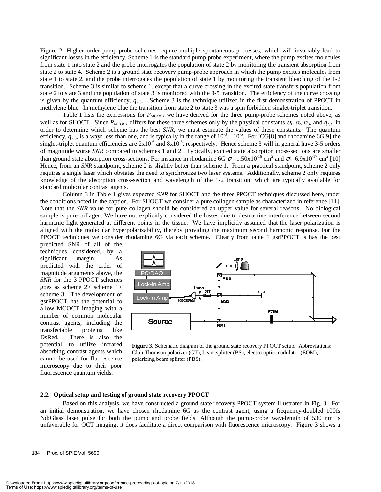Figure 2. Higher order pump-probe schemes require multiple spontaneous processes, which will invariably lead to significant losses in the efficiency. Scheme 1 is the standard pump probe experiment, where the pump excites molecules from state 1 into state 2 and the probe interrogates the population of state 2 by monitoring the transient absorption from state 2 to state 4. Scheme 2 is a ground state recovery pump-probe approach in which the pump excites molecules from state 1 to state 2, and the probe interrogates the population of state 1 by monitoring the transient bleaching of the 1-2 transition. Scheme 3 is similar to scheme 1, except that a curve crossing in the excited state transfers population from state 2 to state 3 and the population of state 3 is monitored with the 3-5 transition. The efficiency of the curve crossing is given by the quantum efficiency,  $q_{2,3}$ . Scheme 3 is the technique utilized in the first demonstration of PPOCT in methylene blue. In methylene blue the transition from state 2 to state 3 was a spin forbidden singlet-triplet transition.

Table 1 lists the expressions for  $P_{MCOCT}$  we have derived for the three pump-probe schemes noted above, as well as for SHOCT. Since  $P_{MCOCT}$  differs for these three schemes only by the physical constants  $\sigma_1$ ,  $\sigma_2$ ,  $\sigma_3$ , and  $q_{2,3}$ , in order to determine which scheme has the best *SNR*, we must estimate the values of these constants. The quantum efficiency,  $q_{2,3}$ , is always less than one, and is typically in the range of  $10^{-3} - 10^{-5}$ . For ICG[8] and rhodamine 6G[9] the singlet-triplet quantum efficiencies are  $2x10^{-6}$  and  $8x10^{-3}$ , respectively. Hence scheme 3 will in general have 3-5 orders of magnitude worse *SNR* compared to schemes 1 and 2. Typically, excited state absorption cross-sections are smaller than ground state absorption cross-sections. For instance in rhodamine 6G  $\sigma_1 = 1.50 \times 10^{-16}$  cm<sup>2</sup> and  $\sigma_2 = 6.9 \times 10^{-17}$  cm<sup>2</sup>.[10] Hence, from an *SNR* standpoint, scheme 2 is slightly better than scheme 1. From a practical standpoint, scheme 2 only requires a single laser which obviates the need to synchronize two laser systems. Additionally, scheme 2 only requires knowledge of the absorption cross-section and wavelength of the 1-2 transition, which are typically available for standard molecular contrast agents.

Column 3 in Table 1 gives expected *SNR* for SHOCT and the three PPOCT techniques discussed here, under the conditions noted in the caption. For SHOCT we consider a pure collagen sample as characterized in reference [11]. Note that the *SNR* value for pure collagen should be considered an upper value for several reasons. No biological sample is pure collagen. We have not explicitly considered the losses due to destructive interference between second harmonic light generated at different points in the tissue. We have implicitly assumed that the laser polarization is aligned with the molecular hyperpolarizability, thereby providing the maximum second harmonic response. For the PPOCT techniques we consider rhodamine 6G via each scheme. Clearly from table 1 gsrPPOCT is has the best

predicted SNR of all of the techniques considered, by a significant margin. As predicted with the order of magnitude arguments above, the *SNR* for the 3 PPOCT schemes goes as scheme 2> scheme 1> scheme 3. The development of gsrPPOCT has the potential to allow MCOCT imaging with a number of common molecular contrast agents, including the transfectable proteins like DsRed. There is also the potential to utilize infrared absorbing contrast agents which cannot be used for fluorescence microscopy due to their poor fluorescence quantum yields.



**Figure 3**. Schematic diagram of the ground state recovery PPOCT setup. Abbreviations: Glan-Thomson polarizer (GT), beam splitter (BS), electro-optic modulator (EOM), polarizing beam splitter (PBS).

#### **2.2. Optical setup and testing of ground state recovery PPOCT**

Based on this analysis, we have constructed a ground state recovery PPOCT system illustrated in Fig. 3. For an initial demonstration, we have chosen rhodamine 6G as the contrast agent, using a frequency-doubled 100fs Nd:Glass laser pulse for both the pump and probe fields. Although the pump-probe wavelength of 530 nm is unfavorable for OCT imaging, it does facilitate a direct comparison with fluorescence microscopy. Figure 3 shows a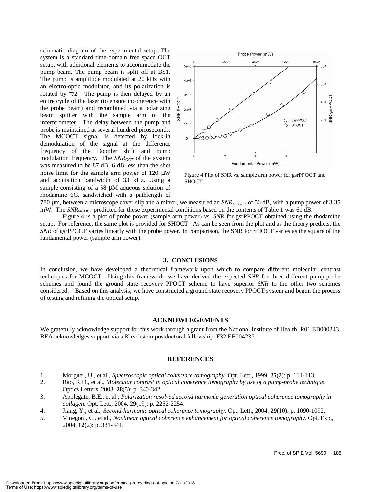schematic diagram of the experimental setup. The system is a standard time-domain free space OCT setup, with additional elements to accommodate the pump beam. The pump beam is split off at BS1. The pump is amplitude modulated at 20 kHz with an electro-optic modulator, and its polarization is rotated by  $\pi/2$ . The pump is then delayed by an entire cycle of the laser (to ensure incoherence with the probe beam) and recombined via a polarizing beam splitter with the sample arm of the interferometer. The delay between the pump and probe is maintained at several hundred picoseconds. The MCOCT signal is detected by lock-in demodulation of the signal at the difference frequency of the Doppler shift and pump modulation frequency. The  $SNR_{OCT}$  of the system was measured to be 87 dB, 6 dB less than the shot noise limit for the sample arm power of 120 µW and acquisition bandwidth of 33 kHz. Using a sample consisting of a 58  $\mu$ M aqueous solution of rhodamine 6G, sandwiched with a pathlength of



Figure 4 Plot of SNR vs. sample arm power for gsrPPOCT and SHOCT.

780 µm, between a microscope cover slip and a mirror, we measured an  $SNR_{MCOCT}$  of 56 dB, with a pump power of 3.35 mW. The *SNR<sub>MCOCT</sub>* predicted for these experimental conditions based on the contents of Table 1 was 61 dB.

Figure 4 is a plot of probe power (sample arm power) vs. *SNR* for gsrPPOCT obtained using the rhodamine setup. For reference, the same plot is provided for SHOCT. As can be seen from the plot and as the theory predicts, the *SNR* of gsrPPOCT varies linearly with the probe power. In comparison, the SNR for SHOCT varies as the square of the fundamental power (sample arm power).

#### **3. CONCLUSIONS**

In conclusion, we have developed a theoretical framework upon which to compare different molecular contrast techniques for MCOCT. Using this framework, we have derived the expected *SNR* for three different pump-probe schemes and found the ground state recovery PPOCT scheme to have superior *SNR* to the other two schemes considered. Based on this analysis, we have constructed a ground state recovery PPOCT system and begun the process of testing and refining the optical setup.

#### **ACKNOWLEGEMENTS**

We gratefully acknowledge support for this work through a grant from the National Institute of Health, R01 EB000243. BEA acknowledges support via a Kirschstein postdoctoral fellowship, F32 EB004237.

## **REFERENCES**

- 1. Morgner, U., et al., *Spectroscopic optical coherence tomography.* Opt. Lett., 1999. **25**(2): p. 111-113.
- 2. Rao, K.D., et al., *Molecular contrast in optical coherence tomography by use of a pump-probe technique.* Optics Letters, 2003. **28**(5): p. 340-342.
- 3. Applegate, B.E., et al., *Polarization resolved second harmonic generation optical coherence tomography in collagen.* Opt. Lett., 2004. **29**(19): p. 2252-2254.
- 4. Jiang, Y., et al., *Second-harmonic optical coherence tomography.* Opt. Lett., 2004. **29**(10): p. 1090-1092.
- 5. Vinegoni, C., et al., *Nonlinear optical coherence enhancement for optical coherence tomography.* Opt. Exp., 2004. **12**(2): p. 331-341.